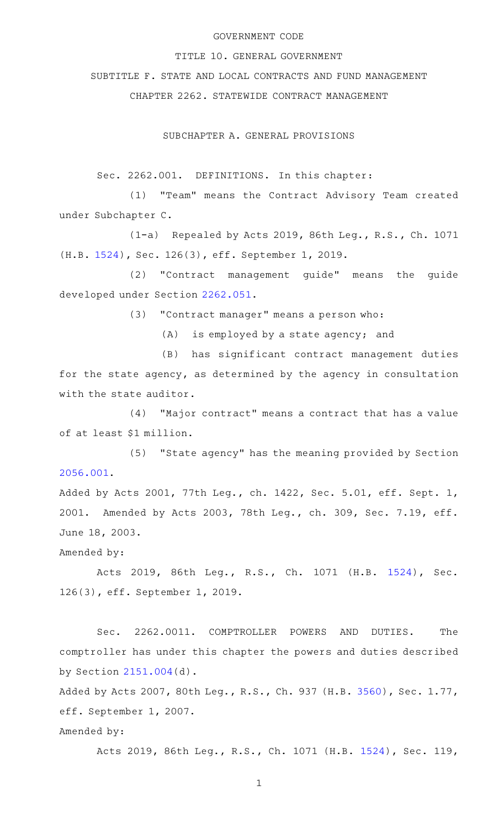#### GOVERNMENT CODE

TITLE 10. GENERAL GOVERNMENT

SUBTITLE F. STATE AND LOCAL CONTRACTS AND FUND MANAGEMENT

CHAPTER 2262. STATEWIDE CONTRACT MANAGEMENT

SUBCHAPTER A. GENERAL PROVISIONS

Sec. 2262.001. DEFINITIONS. In this chapter:

(1) "Team" means the Contract Advisory Team created under Subchapter C.

(1-a) Repealed by Acts 2019, 86th Leg., R.S., Ch. 1071 (H.B. [1524\)](http://www.legis.state.tx.us/tlodocs/86R/billtext/html/HB01524F.HTM), Sec. 126(3), eff. September 1, 2019.

(2) "Contract management guide" means the guide developed under Section [2262.051.](http://www.statutes.legis.state.tx.us/GetStatute.aspx?Code=GV&Value=2262.051)

(3) "Contract manager" means a person who:

 $(A)$  is employed by a state agency; and

(B) has significant contract management duties for the state agency, as determined by the agency in consultation with the state auditor.

(4) "Major contract" means a contract that has a value of at least \$1 million.

(5) "State agency" has the meaning provided by Section [2056.001](http://www.statutes.legis.state.tx.us/GetStatute.aspx?Code=GV&Value=2056.001).

Added by Acts 2001, 77th Leg., ch. 1422, Sec. 5.01, eff. Sept. 1, 2001. Amended by Acts 2003, 78th Leg., ch. 309, Sec. 7.19, eff. June 18, 2003.

Amended by:

Acts 2019, 86th Leg., R.S., Ch. 1071 (H.B. [1524\)](http://www.legis.state.tx.us/tlodocs/86R/billtext/html/HB01524F.HTM), Sec. 126(3), eff. September 1, 2019.

Sec. 2262.0011. COMPTROLLER POWERS AND DUTIES. The comptroller has under this chapter the powers and duties described by Section [2151.004](http://www.statutes.legis.state.tx.us/GetStatute.aspx?Code=GV&Value=2151.004)(d).

Added by Acts 2007, 80th Leg., R.S., Ch. 937 (H.B. [3560](http://www.legis.state.tx.us/tlodocs/80R/billtext/html/HB03560F.HTM)), Sec. 1.77, eff. September 1, 2007.

## Amended by:

Acts 2019, 86th Leg., R.S., Ch. 1071 (H.B. [1524](http://www.legis.state.tx.us/tlodocs/86R/billtext/html/HB01524F.HTM)), Sec. 119,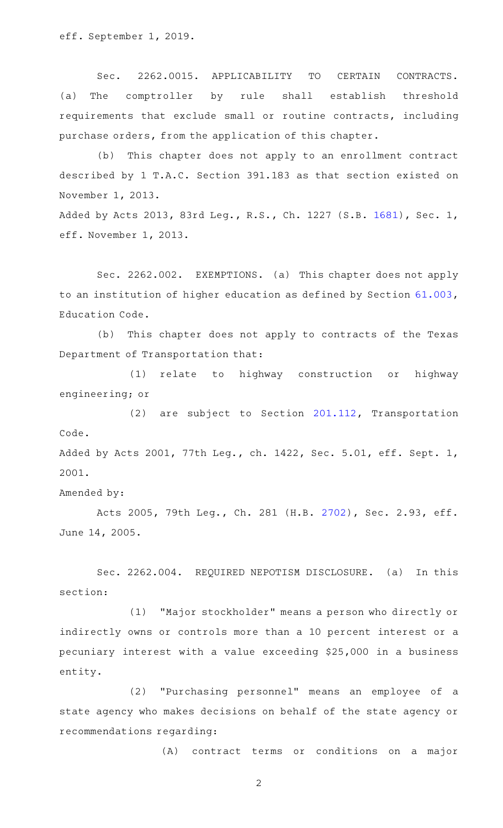eff. September 1, 2019.

Sec. 2262.0015. APPLICABILITY TO CERTAIN CONTRACTS. (a) The comptroller by rule shall establish threshold requirements that exclude small or routine contracts, including purchase orders, from the application of this chapter.

(b) This chapter does not apply to an enrollment contract described by 1 T.A.C. Section 391.183 as that section existed on November 1, 2013.

Added by Acts 2013, 83rd Leg., R.S., Ch. 1227 (S.B. [1681\)](http://www.legis.state.tx.us/tlodocs/83R/billtext/html/SB01681F.HTM), Sec. 1, eff. November 1, 2013.

Sec. 2262.002. EXEMPTIONS. (a) This chapter does not apply to an institution of higher education as defined by Section [61.003](http://www.statutes.legis.state.tx.us/GetStatute.aspx?Code=ED&Value=61.003), Education Code.

(b) This chapter does not apply to contracts of the Texas Department of Transportation that:

(1) relate to highway construction or highway engineering; or

 $(2)$  are subject to Section [201.112,](http://www.statutes.legis.state.tx.us/GetStatute.aspx?Code=TN&Value=201.112) Transportation Code. Added by Acts 2001, 77th Leg., ch. 1422, Sec. 5.01, eff. Sept. 1,

2001.

Amended by:

Acts 2005, 79th Leg., Ch. 281 (H.B. [2702](http://www.legis.state.tx.us/tlodocs/79R/billtext/html/HB02702F.HTM)), Sec. 2.93, eff. June 14, 2005.

Sec. 2262.004. REQUIRED NEPOTISM DISCLOSURE. (a) In this section:

(1) "Major stockholder" means a person who directly or indirectly owns or controls more than a 10 percent interest or a pecuniary interest with a value exceeding \$25,000 in a business entity.

(2) "Purchasing personnel" means an employee of a state agency who makes decisions on behalf of the state agency or recommendations regarding:

(A) contract terms or conditions on a major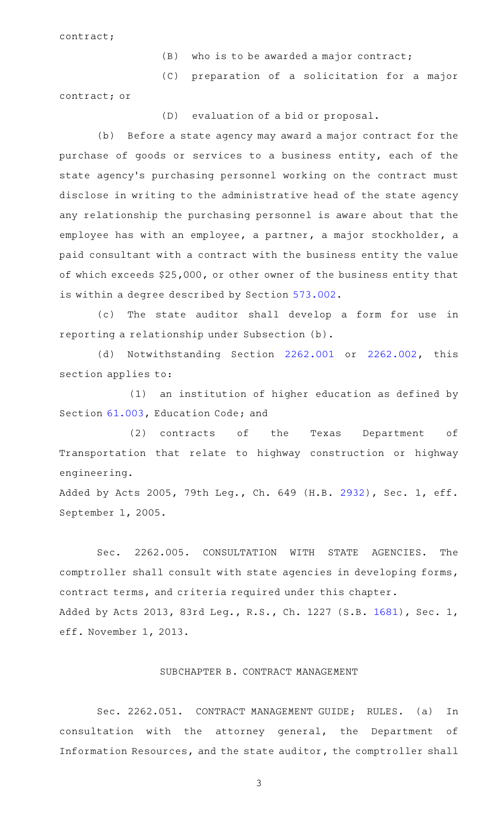contract;

- $(B)$  who is to be awarded a major contract;
- (C) preparation of a solicitation for a major

contract; or

(D) evaluation of a bid or proposal.

(b) Before a state agency may award a major contract for the purchase of goods or services to a business entity, each of the state agency 's purchasing personnel working on the contract must disclose in writing to the administrative head of the state agency any relationship the purchasing personnel is aware about that the employee has with an employee, a partner, a major stockholder, a paid consultant with a contract with the business entity the value of which exceeds \$25,000, or other owner of the business entity that is within a degree described by Section [573.002](http://www.statutes.legis.state.tx.us/GetStatute.aspx?Code=GV&Value=573.002).

(c) The state auditor shall develop a form for use in reporting a relationship under Subsection (b).

(d) Notwithstanding Section [2262.001](http://www.statutes.legis.state.tx.us/GetStatute.aspx?Code=GV&Value=2262.001) or [2262.002,](http://www.statutes.legis.state.tx.us/GetStatute.aspx?Code=GV&Value=2262.002) this section applies to:

 $(1)$  an institution of higher education as defined by Section [61.003](http://www.statutes.legis.state.tx.us/GetStatute.aspx?Code=ED&Value=61.003), Education Code; and

(2) contracts of the Texas Department of Transportation that relate to highway construction or highway engineering.

Added by Acts 2005, 79th Leg., Ch. 649 (H.B. [2932](http://www.legis.state.tx.us/tlodocs/79R/billtext/html/HB02932F.HTM)), Sec. 1, eff. September 1, 2005.

Sec. 2262.005. CONSULTATION WITH STATE AGENCIES. The comptroller shall consult with state agencies in developing forms, contract terms, and criteria required under this chapter. Added by Acts 2013, 83rd Leg., R.S., Ch. 1227 (S.B. [1681\)](http://www.legis.state.tx.us/tlodocs/83R/billtext/html/SB01681F.HTM), Sec. 1, eff. November 1, 2013.

# SUBCHAPTER B. CONTRACT MANAGEMENT

Sec. 2262.051. CONTRACT MANAGEMENT GUIDE; RULES. (a) In consultation with the attorney general, the Department of Information Resources, and the state auditor, the comptroller shall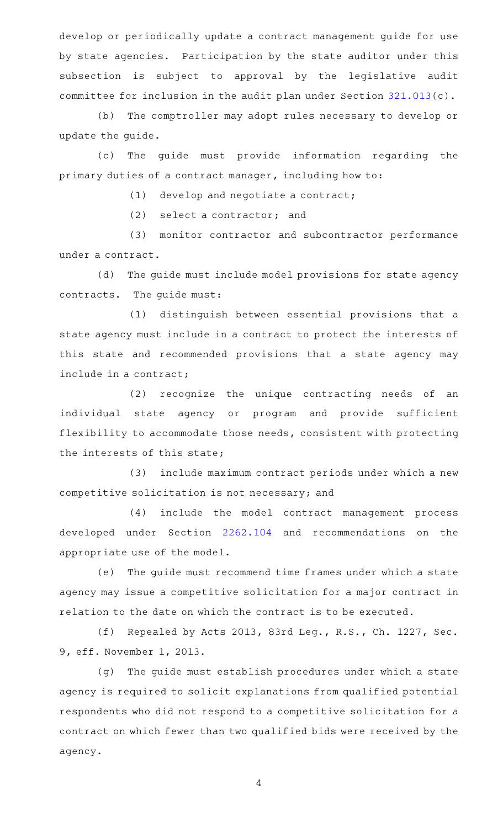develop or periodically update a contract management guide for use by state agencies. Participation by the state auditor under this subsection is subject to approval by the legislative audit committee for inclusion in the audit plan under Section [321.013\(](http://www.statutes.legis.state.tx.us/GetStatute.aspx?Code=GV&Value=321.013)c).

(b) The comptroller may adopt rules necessary to develop or update the guide.

(c) The guide must provide information regarding the primary duties of a contract manager, including how to:

 $(1)$  develop and negotiate a contract;

 $(2)$  select a contractor; and

(3) monitor contractor and subcontractor performance under a contract.

(d) The guide must include model provisions for state agency contracts. The guide must:

(1) distinguish between essential provisions that a state agency must include in a contract to protect the interests of this state and recommended provisions that a state agency may include in a contract;

(2) recognize the unique contracting needs of an individual state agency or program and provide sufficient flexibility to accommodate those needs, consistent with protecting the interests of this state;

(3) include maximum contract periods under which a new competitive solicitation is not necessary; and

(4) include the model contract management process developed under Section [2262.104](http://www.statutes.legis.state.tx.us/GetStatute.aspx?Code=GV&Value=2262.104) and recommendations on the appropriate use of the model.

(e) The guide must recommend time frames under which a state agency may issue a competitive solicitation for a major contract in relation to the date on which the contract is to be executed.

(f) Repealed by Acts 2013, 83rd Leg., R.S., Ch. 1227, Sec. 9, eff. November 1, 2013.

(g) The guide must establish procedures under which a state agency is required to solicit explanations from qualified potential respondents who did not respond to a competitive solicitation for a contract on which fewer than two qualified bids were received by the agency.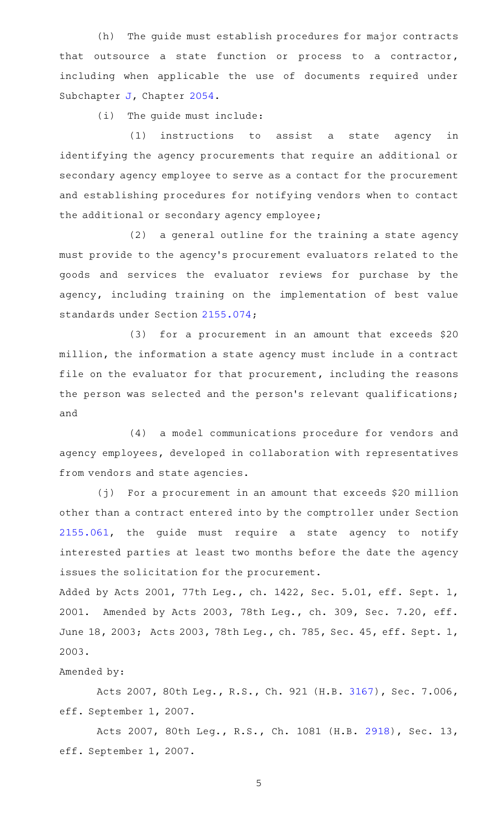(h) The guide must establish procedures for major contracts that outsource a state function or process to a contractor, including when applicable the use of documents required under Subchapter [J](http://www.statutes.legis.state.tx.us/GetStatute.aspx?Code=GV&Value=2054.301), Chapter [2054.](http://www.statutes.legis.state.tx.us/GetStatute.aspx?Code=GV&Value=2054)

(i) The guide must include:

 $(1)$  instructions to assist a state agency in identifying the agency procurements that require an additional or secondary agency employee to serve as a contact for the procurement and establishing procedures for notifying vendors when to contact the additional or secondary agency employee;

 $(2)$  a general outline for the training a state agency must provide to the agency 's procurement evaluators related to the goods and services the evaluator reviews for purchase by the agency, including training on the implementation of best value standards under Section [2155.074;](http://www.statutes.legis.state.tx.us/GetStatute.aspx?Code=GV&Value=2155.074)

(3) for a procurement in an amount that exceeds  $$20$ million, the information a state agency must include in a contract file on the evaluator for that procurement, including the reasons the person was selected and the person's relevant qualifications; and

(4) a model communications procedure for vendors and agency employees, developed in collaboration with representatives from vendors and state agencies.

 $(j)$  For a procurement in an amount that exceeds \$20 million other than a contract entered into by the comptroller under Section [2155.061](http://www.statutes.legis.state.tx.us/GetStatute.aspx?Code=GV&Value=2155.061), the guide must require a state agency to notify interested parties at least two months before the date the agency issues the solicitation for the procurement.

Added by Acts 2001, 77th Leg., ch. 1422, Sec. 5.01, eff. Sept. 1, 2001. Amended by Acts 2003, 78th Leg., ch. 309, Sec. 7.20, eff. June 18, 2003; Acts 2003, 78th Leg., ch. 785, Sec. 45, eff. Sept. 1, 2003.

### Amended by:

Acts 2007, 80th Leg., R.S., Ch. 921 (H.B. [3167\)](http://www.legis.state.tx.us/tlodocs/80R/billtext/html/HB03167F.HTM), Sec. 7.006, eff. September 1, 2007.

Acts 2007, 80th Leg., R.S., Ch. 1081 (H.B. [2918](http://www.legis.state.tx.us/tlodocs/80R/billtext/html/HB02918F.HTM)), Sec. 13, eff. September 1, 2007.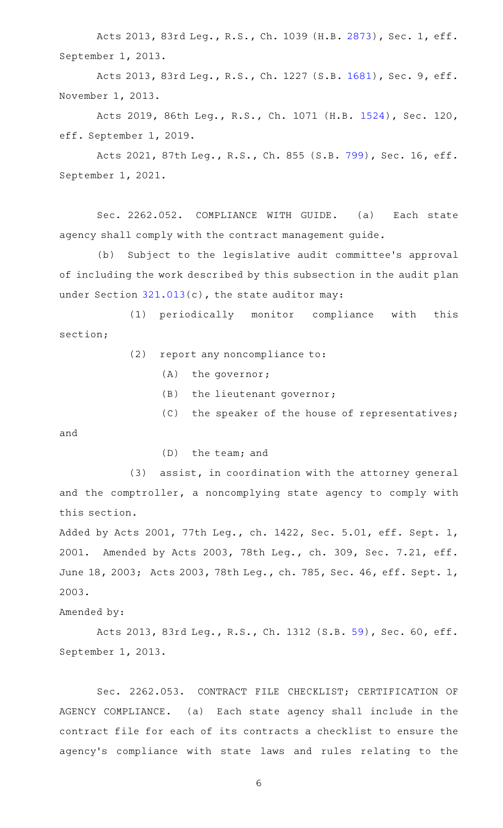Acts 2013, 83rd Leg., R.S., Ch. 1039 (H.B. [2873](http://www.legis.state.tx.us/tlodocs/83R/billtext/html/HB02873F.HTM)), Sec. 1, eff. September 1, 2013.

Acts 2013, 83rd Leg., R.S., Ch. 1227 (S.B. [1681](http://www.legis.state.tx.us/tlodocs/83R/billtext/html/SB01681F.HTM)), Sec. 9, eff. November 1, 2013.

Acts 2019, 86th Leg., R.S., Ch. 1071 (H.B. [1524](http://www.legis.state.tx.us/tlodocs/86R/billtext/html/HB01524F.HTM)), Sec. 120, eff. September 1, 2019.

Acts 2021, 87th Leg., R.S., Ch. 855 (S.B. [799\)](http://www.legis.state.tx.us/tlodocs/87R/billtext/html/SB00799F.HTM), Sec. 16, eff. September 1, 2021.

Sec. 2262.052. COMPLIANCE WITH GUIDE. (a) Each state agency shall comply with the contract management guide.

(b) Subject to the legislative audit committee's approval of including the work described by this subsection in the audit plan under Section [321.013](http://www.statutes.legis.state.tx.us/GetStatute.aspx?Code=GV&Value=321.013)(c), the state auditor may:

(1) periodically monitor compliance with this section;

 $(2)$  report any noncompliance to:

 $(A)$  the governor;

(B) the lieutenant governor;

 $(C)$  the speaker of the house of representatives;

and

 $(D)$  the team; and

(3) assist, in coordination with the attorney general and the comptroller, a noncomplying state agency to comply with this section.

Added by Acts 2001, 77th Leg., ch. 1422, Sec. 5.01, eff. Sept. 1, 2001. Amended by Acts 2003, 78th Leg., ch. 309, Sec. 7.21, eff. June 18, 2003; Acts 2003, 78th Leg., ch. 785, Sec. 46, eff. Sept. 1, 2003.

Amended by:

Acts 2013, 83rd Leg., R.S., Ch. 1312 (S.B. [59\)](http://www.legis.state.tx.us/tlodocs/83R/billtext/html/SB00059F.HTM), Sec. 60, eff. September 1, 2013.

Sec. 2262.053. CONTRACT FILE CHECKLIST; CERTIFICATION OF AGENCY COMPLIANCE. (a) Each state agency shall include in the contract file for each of its contracts a checklist to ensure the agency 's compliance with state laws and rules relating to the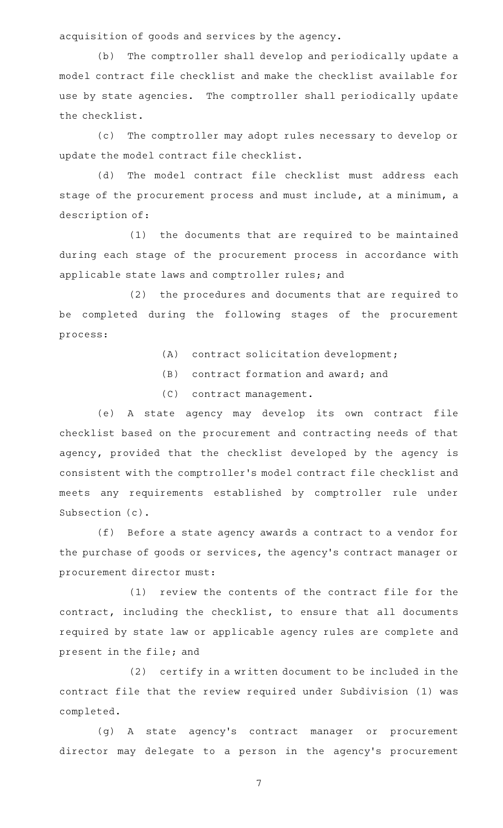acquisition of goods and services by the agency.

(b) The comptroller shall develop and periodically update a model contract file checklist and make the checklist available for use by state agencies. The comptroller shall periodically update the checklist.

(c) The comptroller may adopt rules necessary to develop or update the model contract file checklist.

(d) The model contract file checklist must address each stage of the procurement process and must include, at a minimum, a description of:

(1) the documents that are required to be maintained during each stage of the procurement process in accordance with applicable state laws and comptroller rules; and

(2) the procedures and documents that are required to be completed during the following stages of the procurement process:

- (A) contract solicitation development;
- $(B)$  contract formation and award; and
- (C) contract management.

(e)AAA state agency may develop its own contract file checklist based on the procurement and contracting needs of that agency, provided that the checklist developed by the agency is consistent with the comptroller 's model contract file checklist and meets any requirements established by comptroller rule under Subsection (c).

(f) Before a state agency awards a contract to a vendor for the purchase of goods or services, the agency 's contract manager or procurement director must:

 $(1)$  review the contents of the contract file for the contract, including the checklist, to ensure that all documents required by state law or applicable agency rules are complete and present in the file; and

(2) certify in a written document to be included in the contract file that the review required under Subdivision (1) was completed.

(g)AAA state agency 's contract manager or procurement director may delegate to a person in the agency's procurement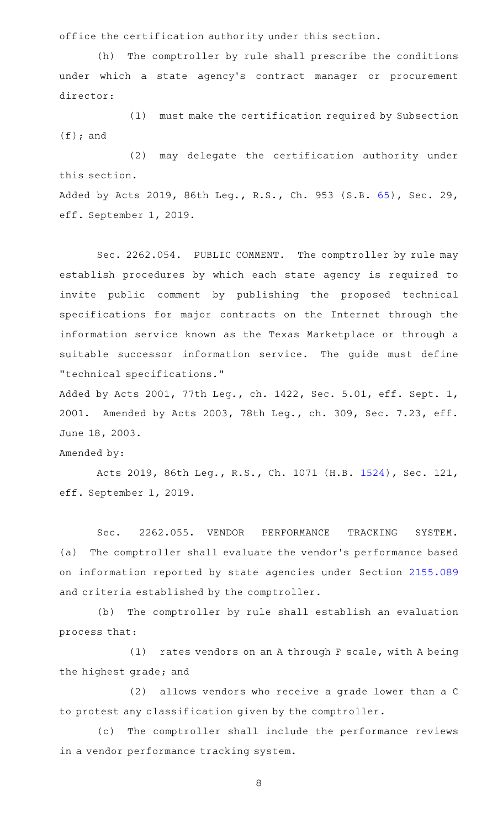office the certification authority under this section.

(h) The comptroller by rule shall prescribe the conditions under which a state agency's contract manager or procurement director:

(1) must make the certification required by Subsection (f); and

(2) may delegate the certification authority under this section.

Added by Acts 2019, 86th Leg., R.S., Ch. 953 (S.B. [65](http://www.legis.state.tx.us/tlodocs/86R/billtext/html/SB00065F.HTM)), Sec. 29, eff. September 1, 2019.

Sec. 2262.054. PUBLIC COMMENT. The comptroller by rule may establish procedures by which each state agency is required to invite public comment by publishing the proposed technical specifications for major contracts on the Internet through the information service known as the Texas Marketplace or through a suitable successor information service. The guide must define "technical specifications."

Added by Acts 2001, 77th Leg., ch. 1422, Sec. 5.01, eff. Sept. 1, 2001. Amended by Acts 2003, 78th Leg., ch. 309, Sec. 7.23, eff. June 18, 2003.

Amended by:

Acts 2019, 86th Leg., R.S., Ch. 1071 (H.B. [1524](http://www.legis.state.tx.us/tlodocs/86R/billtext/html/HB01524F.HTM)), Sec. 121, eff. September 1, 2019.

Sec. 2262.055. VENDOR PERFORMANCE TRACKING SYSTEM. (a) The comptroller shall evaluate the vendor's performance based on information reported by state agencies under Section [2155.089](http://www.statutes.legis.state.tx.us/GetStatute.aspx?Code=GV&Value=2155.089) and criteria established by the comptroller.

(b) The comptroller by rule shall establish an evaluation process that:

(1) rates vendors on an A through F scale, with A being the highest grade; and

(2) allows vendors who receive a grade lower than a C to protest any classification given by the comptroller.

(c) The comptroller shall include the performance reviews in a vendor performance tracking system.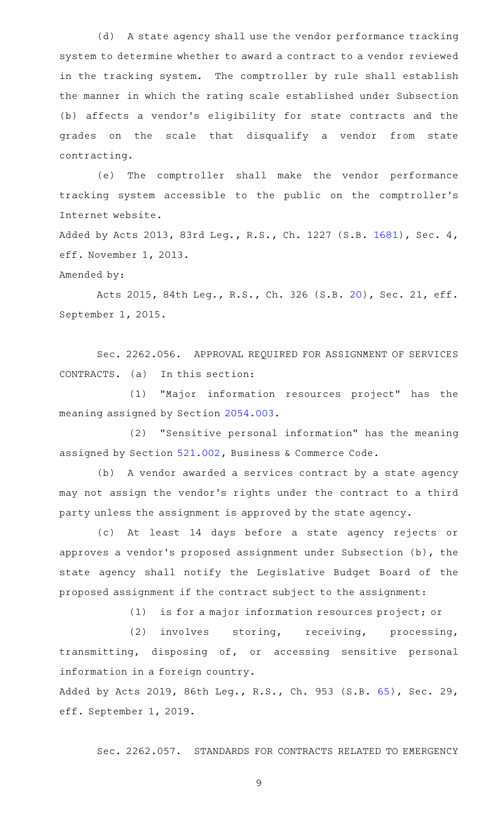(d) A state agency shall use the vendor performance tracking system to determine whether to award a contract to a vendor reviewed in the tracking system. The comptroller by rule shall establish the manner in which the rating scale established under Subsection (b) affects a vendor 's eligibility for state contracts and the grades on the scale that disqualify a vendor from state contracting.

(e) The comptroller shall make the vendor performance tracking system accessible to the public on the comptroller 's Internet website.

Added by Acts 2013, 83rd Leg., R.S., Ch. 1227 (S.B. [1681\)](http://www.legis.state.tx.us/tlodocs/83R/billtext/html/SB01681F.HTM), Sec. 4, eff. November 1, 2013.

Amended by:

Acts 2015, 84th Leg., R.S., Ch. 326 (S.B. [20\)](http://www.legis.state.tx.us/tlodocs/84R/billtext/html/SB00020F.HTM), Sec. 21, eff. September 1, 2015.

Sec. 2262.056. APPROVAL REQUIRED FOR ASSIGNMENT OF SERVICES  $CONTRACTS.$  (a) In this section:

(1) "Major information resources project" has the meaning assigned by Section [2054.003.](http://www.statutes.legis.state.tx.us/GetStatute.aspx?Code=GV&Value=2054.003)

(2) "Sensitive personal information" has the meaning assigned by Section [521.002](http://www.statutes.legis.state.tx.us/GetStatute.aspx?Code=BC&Value=521.002), Business & Commerce Code.

(b) A vendor awarded a services contract by a state agency may not assign the vendor 's rights under the contract to a third party unless the assignment is approved by the state agency.

(c) At least 14 days before a state agency rejects or approves a vendor 's proposed assignment under Subsection (b), the state agency shall notify the Legislative Budget Board of the proposed assignment if the contract subject to the assignment:

 $(1)$  is for a major information resources project; or

(2) involves storing, receiving, processing, transmitting, disposing of, or accessing sensitive personal information in a foreign country.

Added by Acts 2019, 86th Leg., R.S., Ch. 953 (S.B. [65](http://www.legis.state.tx.us/tlodocs/86R/billtext/html/SB00065F.HTM)), Sec. 29, eff. September 1, 2019.

Sec. 2262.057. STANDARDS FOR CONTRACTS RELATED TO EMERGENCY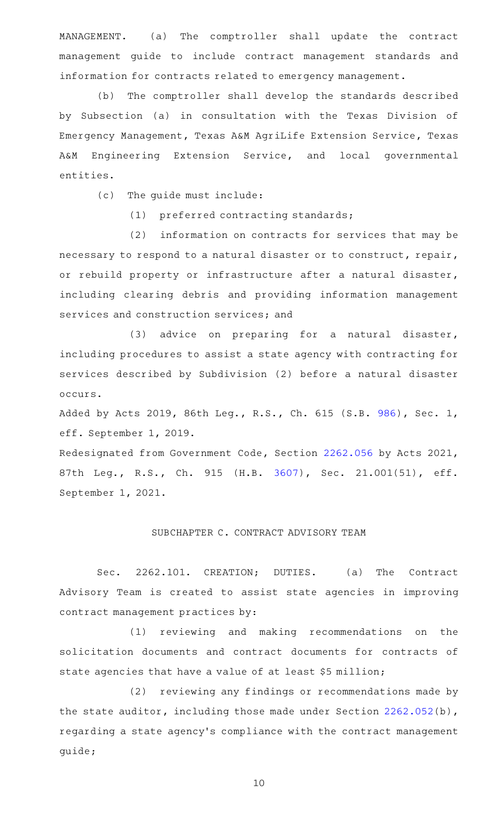MANAGEMENT. (a) The comptroller shall update the contract management guide to include contract management standards and information for contracts related to emergency management.

(b) The comptroller shall develop the standards described by Subsection (a) in consultation with the Texas Division of Emergency Management, Texas A&M AgriLife Extension Service, Texas A&M Engineering Extension Service, and local governmental entities.

(c) The guide must include:

(1) preferred contracting standards;

(2) information on contracts for services that may be necessary to respond to a natural disaster or to construct, repair, or rebuild property or infrastructure after a natural disaster, including clearing debris and providing information management services and construction services; and

(3) advice on preparing for a natural disaster, including procedures to assist a state agency with contracting for services described by Subdivision (2) before a natural disaster occurs.

Added by Acts 2019, 86th Leg., R.S., Ch. 615 (S.B. [986](http://www.legis.state.tx.us/tlodocs/86R/billtext/html/SB00986F.HTM)), Sec. 1, eff. September 1, 2019.

Redesignated from Government Code, Section [2262.056](http://www.statutes.legis.state.tx.us/GetStatute.aspx?Code=GV&Value=2262.056) by Acts 2021, 87th Leg., R.S., Ch. 915 (H.B. [3607](http://www.legis.state.tx.us/tlodocs/87R/billtext/html/HB03607F.HTM)), Sec. 21.001(51), eff. September 1, 2021.

#### SUBCHAPTER C. CONTRACT ADVISORY TEAM

Sec. 2262.101. CREATION; DUTIES. (a) The Contract Advisory Team is created to assist state agencies in improving contract management practices by:

(1) reviewing and making recommendations on the solicitation documents and contract documents for contracts of state agencies that have a value of at least \$5 million;

(2) reviewing any findings or recommendations made by the state auditor, including those made under Section [2262.052\(](http://www.statutes.legis.state.tx.us/GetStatute.aspx?Code=GV&Value=2262.052)b), regarding a state agency 's compliance with the contract management guide;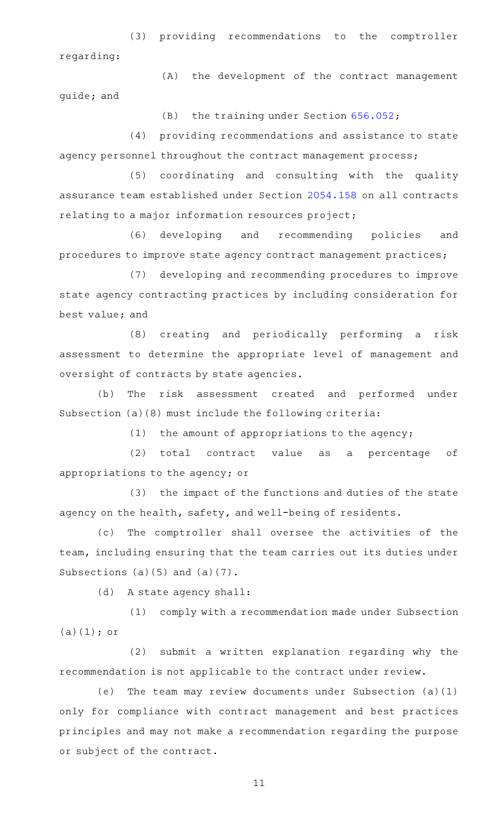(3) providing recommendations to the comptroller regarding:

(A) the development of the contract management guide; and

 $(B)$  the training under Section [656.052;](http://www.statutes.legis.state.tx.us/GetStatute.aspx?Code=GV&Value=656.052)

(4) providing recommendations and assistance to state agency personnel throughout the contract management process;

(5) coordinating and consulting with the quality assurance team established under Section [2054.158](http://www.statutes.legis.state.tx.us/GetStatute.aspx?Code=GV&Value=2054.158) on all contracts relating to a major information resources project;

(6) developing and recommending policies and procedures to improve state agency contract management practices;

(7) developing and recommending procedures to improve state agency contracting practices by including consideration for best value; and

(8) creating and periodically performing a risk assessment to determine the appropriate level of management and oversight of contracts by state agencies.

(b) The risk assessment created and performed under Subsection (a)(8) must include the following criteria:

(1) the amount of appropriations to the agency;

(2) total contract value as a percentage of appropriations to the agency; or

(3) the impact of the functions and duties of the state agency on the health, safety, and well-being of residents.

(c) The comptroller shall oversee the activities of the team, including ensuring that the team carries out its duties under Subsections (a)(5) and (a)(7).

(d) A state agency shall:

(1) comply with a recommendation made under Subsection  $(a)(1);$  or

(2) submit a written explanation regarding why the recommendation is not applicable to the contract under review.

(e) The team may review documents under Subsection  $(a)(1)$ only for compliance with contract management and best practices principles and may not make a recommendation regarding the purpose or subject of the contract.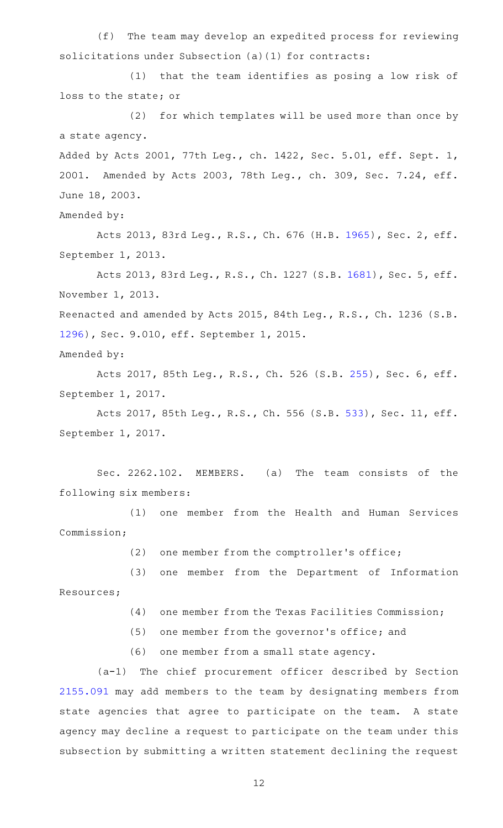(f) The team may develop an expedited process for reviewing solicitations under Subsection (a)(1) for contracts:

(1) that the team identifies as posing a low risk of loss to the state; or

(2) for which templates will be used more than once by a state agency.

Added by Acts 2001, 77th Leg., ch. 1422, Sec. 5.01, eff. Sept. 1, 2001. Amended by Acts 2003, 78th Leg., ch. 309, Sec. 7.24, eff. June 18, 2003.

Amended by:

Acts 2013, 83rd Leg., R.S., Ch. 676 (H.B. [1965](http://www.legis.state.tx.us/tlodocs/83R/billtext/html/HB01965F.HTM)), Sec. 2, eff. September 1, 2013.

Acts 2013, 83rd Leg., R.S., Ch. 1227 (S.B. [1681](http://www.legis.state.tx.us/tlodocs/83R/billtext/html/SB01681F.HTM)), Sec. 5, eff. November 1, 2013.

Reenacted and amended by Acts 2015, 84th Leg., R.S., Ch. 1236 (S.B. [1296](http://www.legis.state.tx.us/tlodocs/84R/billtext/html/SB01296F.HTM)), Sec. 9.010, eff. September 1, 2015.

```
Amended by:
```
Acts 2017, 85th Leg., R.S., Ch. 526 (S.B. [255](http://www.legis.state.tx.us/tlodocs/85R/billtext/html/SB00255F.HTM)), Sec. 6, eff. September 1, 2017.

Acts 2017, 85th Leg., R.S., Ch. 556 (S.B. [533\)](http://www.legis.state.tx.us/tlodocs/85R/billtext/html/SB00533F.HTM), Sec. 11, eff. September 1, 2017.

Sec. 2262.102. MEMBERS. (a) The team consists of the following six members:

(1) one member from the Health and Human Services Commission;

(2) one member from the comptroller's office;

(3) one member from the Department of Information Resources;

- (4) one member from the Texas Facilities Commission;
- $(5)$  one member from the governor's office; and
- (6) one member from a small state agency.

(a-1) The chief procurement officer described by Section [2155.091](http://www.statutes.legis.state.tx.us/GetStatute.aspx?Code=GV&Value=2155.091) may add members to the team by designating members from state agencies that agree to participate on the team. A state agency may decline a request to participate on the team under this subsection by submitting a written statement declining the request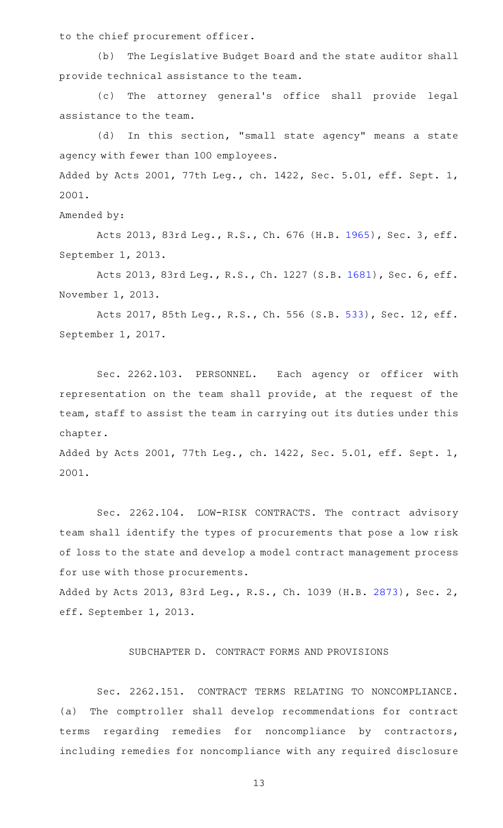to the chief procurement officer.

(b) The Legislative Budget Board and the state auditor shall provide technical assistance to the team.

(c) The attorney general's office shall provide legal assistance to the team.

(d) In this section, "small state agency" means a state agency with fewer than 100 employees. Added by Acts 2001, 77th Leg., ch. 1422, Sec. 5.01, eff. Sept. 1, 2001.

Amended by:

Acts 2013, 83rd Leg., R.S., Ch. 676 (H.B. [1965](http://www.legis.state.tx.us/tlodocs/83R/billtext/html/HB01965F.HTM)), Sec. 3, eff. September 1, 2013.

Acts 2013, 83rd Leg., R.S., Ch. 1227 (S.B. [1681](http://www.legis.state.tx.us/tlodocs/83R/billtext/html/SB01681F.HTM)), Sec. 6, eff. November 1, 2013.

Acts 2017, 85th Leg., R.S., Ch. 556 (S.B. [533\)](http://www.legis.state.tx.us/tlodocs/85R/billtext/html/SB00533F.HTM), Sec. 12, eff. September 1, 2017.

Sec. 2262.103. PERSONNEL. Each agency or officer with representation on the team shall provide, at the request of the team, staff to assist the team in carrying out its duties under this chapter.

Added by Acts 2001, 77th Leg., ch. 1422, Sec. 5.01, eff. Sept. 1, 2001.

Sec. 2262.104. LOW-RISK CONTRACTS. The contract advisory team shall identify the types of procurements that pose a low risk of loss to the state and develop a model contract management process for use with those procurements.

Added by Acts 2013, 83rd Leg., R.S., Ch. 1039 (H.B. [2873\)](http://www.legis.state.tx.us/tlodocs/83R/billtext/html/HB02873F.HTM), Sec. 2, eff. September 1, 2013.

## SUBCHAPTER D. CONTRACT FORMS AND PROVISIONS

Sec. 2262.151. CONTRACT TERMS RELATING TO NONCOMPLIANCE. (a) The comptroller shall develop recommendations for contract terms regarding remedies for noncompliance by contractors, including remedies for noncompliance with any required disclosure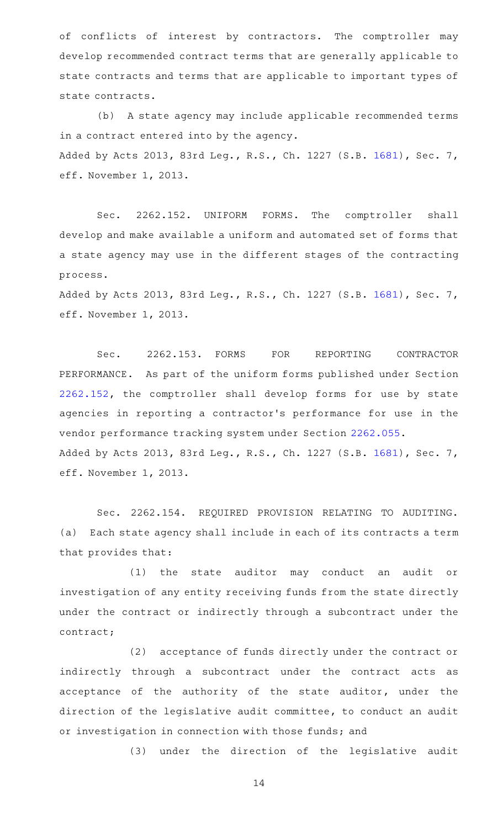of conflicts of interest by contractors. The comptroller may develop recommended contract terms that are generally applicable to state contracts and terms that are applicable to important types of state contracts.

(b) A state agency may include applicable recommended terms in a contract entered into by the agency. Added by Acts 2013, 83rd Leg., R.S., Ch. 1227 (S.B. [1681\)](http://www.legis.state.tx.us/tlodocs/83R/billtext/html/SB01681F.HTM), Sec. 7, eff. November 1, 2013.

Sec. 2262.152. UNIFORM FORMS. The comptroller shall develop and make available a uniform and automated set of forms that a state agency may use in the different stages of the contracting process.

Added by Acts 2013, 83rd Leg., R.S., Ch. 1227 (S.B. [1681\)](http://www.legis.state.tx.us/tlodocs/83R/billtext/html/SB01681F.HTM), Sec. 7, eff. November 1, 2013.

Sec. 2262.153. FORMS FOR REPORTING CONTRACTOR PERFORMANCE. As part of the uniform forms published under Section [2262.152](http://www.statutes.legis.state.tx.us/GetStatute.aspx?Code=GV&Value=2262.152), the comptroller shall develop forms for use by state agencies in reporting a contractor 's performance for use in the vendor performance tracking system under Section [2262.055](http://www.statutes.legis.state.tx.us/GetStatute.aspx?Code=GV&Value=2262.055). Added by Acts 2013, 83rd Leg., R.S., Ch. 1227 (S.B. [1681\)](http://www.legis.state.tx.us/tlodocs/83R/billtext/html/SB01681F.HTM), Sec. 7, eff. November 1, 2013.

Sec. 2262.154. REQUIRED PROVISION RELATING TO AUDITING. (a) Each state agency shall include in each of its contracts a term that provides that:

(1) the state auditor may conduct an audit or investigation of any entity receiving funds from the state directly under the contract or indirectly through a subcontract under the contract;

(2) acceptance of funds directly under the contract or indirectly through a subcontract under the contract acts as acceptance of the authority of the state auditor, under the direction of the legislative audit committee, to conduct an audit or investigation in connection with those funds; and

(3) under the direction of the legislative audit